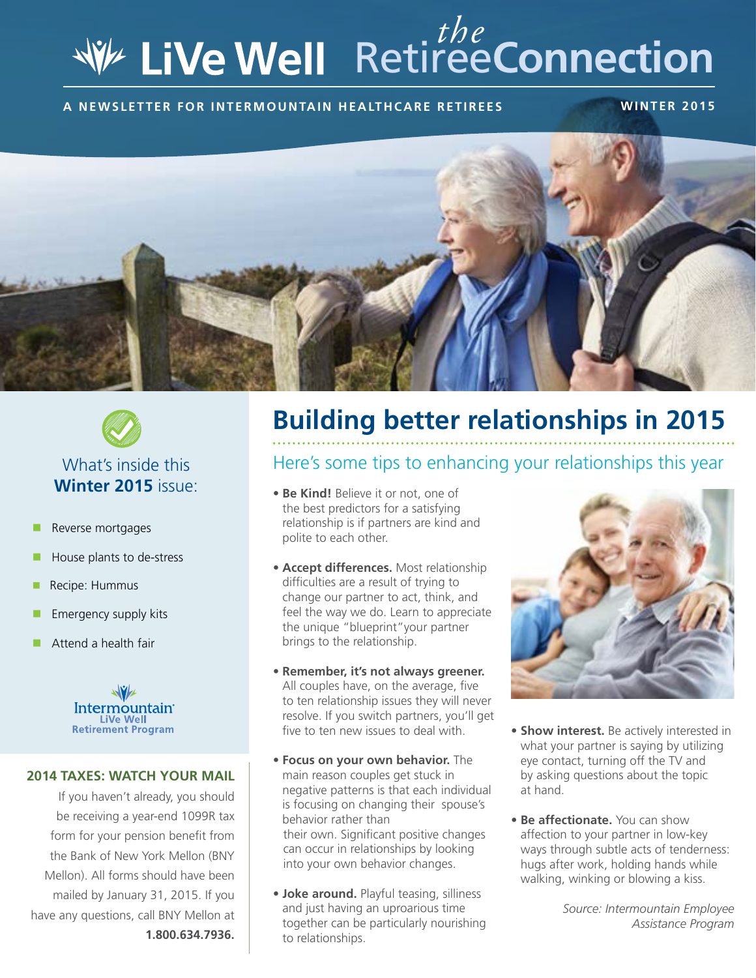# Retiree**Connection** *the*

**A newsletter for intermountain healthcare retirees winter 2015**





# **Winter 2015** issue:

- Reverse mortgages
- $\blacksquare$  House plants to de-stress
- $\blacksquare$  Recipe: Hummus
- Emergency supply kits
- Attend a health fair



#### **2014 TAXES: WATCH YOUR MAIL**

If you haven't already, you should be receiving a year-end 1099R tax form for your pension benefit from the Bank of New York Mellon (BNY Mellon). All forms should have been mailed by January 31, 2015. If you have any questions, call BNY Mellon at **1.800.634.7936.**

# **Building better relationships in 2015**

#### Here's some tips to enhancing your relationships this year

- **Be Kind!** Believe it or not, one of the best predictors for a satisfying relationship is if partners are kind and polite to each other.
- **Accept differences.** Most relationship difficulties are a result of trying to change our partner to act, think, and feel the way we do. Learn to appreciate the unique "blueprint"your partner brings to the relationship.
- **Remember, it's not always greener.**  All couples have, on the average, five to ten relationship issues they will never resolve. If you switch partners, you'll get five to ten new issues to deal with
- **Focus on your own behavior.** The main reason couples get stuck in negative patterns is that each individual is focusing on changing their spouse's behavior rather than their own. Significant positive changes can occur in relationships by looking into your own behavior changes.
- **Joke around.** Playful teasing, silliness and just having an uproarious time together can be particularly nourishing to relationships.



- **Show interest.** Be actively interested in what your partner is saying by utilizing eye contact, turning off the TV and by asking questions about the topic at hand.
- **Be affectionate.** You can show affection to your partner in low-key ways through subtle acts of tenderness: hugs after work, holding hands while walking, winking or blowing a kiss.

*Source: Intermountain Employee Assistance Program*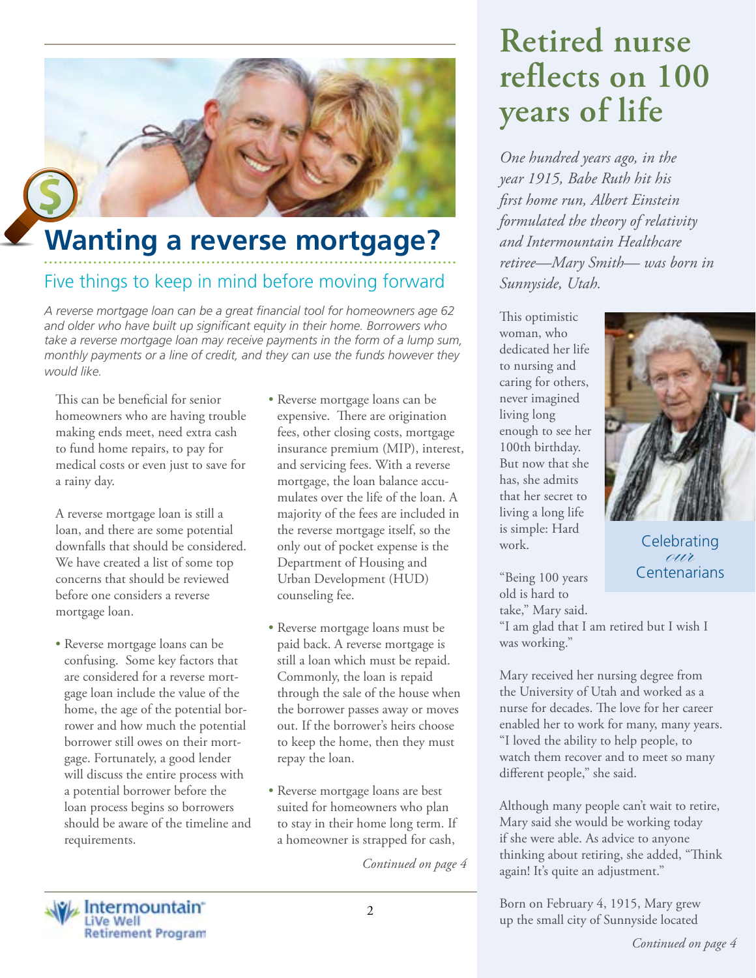

# Five things to keep in mind before moving forward **Wanting a reverse mortgage?**

*A reverse mortgage loan can be a great financial tool for homeowners age 62 and older who have built up significant equity in their home. Borrowers who take a reverse mortgage loan may receive payments in the form of a lump sum, monthly payments or a line of credit, and they can use the funds however they would like.*

This can be beneficial for senior homeowners who are having trouble making ends meet, need extra cash to fund home repairs, to pay for medical costs or even just to save for a rainy day.

A reverse mortgage loan is still a loan, and there are some potential downfalls that should be considered. We have created a list of some top concerns that should be reviewed before one considers a reverse mortgage loan.

- Reverse mortgage loans can be confusing. Some key factors that are considered for a reverse mortgage loan include the value of the home, the age of the potential borrower and how much the potential borrower still owes on their mortgage. Fortunately, a good lender will discuss the entire process with a potential borrower before the loan process begins so borrowers should be aware of the timeline and requirements.
- Reverse mortgage loans can be expensive. There are origination fees, other closing costs, mortgage insurance premium (MIP), interest, and servicing fees. With a reverse mortgage, the loan balance accumulates over the life of the loan. A majority of the fees are included in the reverse mortgage itself, so the only out of pocket expense is the Department of Housing and Urban Development (HUD) counseling fee.
- Reverse mortgage loans must be paid back. A reverse mortgage is still a loan which must be repaid. Commonly, the loan is repaid through the sale of the house when the borrower passes away or moves out. If the borrower's heirs choose to keep the home, then they must repay the loan.
- Reverse mortgage loans are best suited for homeowners who plan to stay in their home long term. If a homeowner is strapped for cash,

*Continued on page 4*

# **Retired nurse reflects on 100 years of life**

*One hundred years ago, in the year 1915, Babe Ruth hit his first home run, Albert Einstein formulated the theory of relativity and Intermountain Healthcare retiree—Mary Smith— was born in Sunnyside, Utah.*

This optimistic woman, who dedicated her life to nursing and caring for others, never imagined living long enough to see her 100th birthday. But now that she has, she admits that her secret to living a long life is simple: Hard work.

"Being 100 years old is hard to take," Mary said.

"I am glad that I am retired but I wish I was working."

Mary received her nursing degree from the University of Utah and worked as a nurse for decades. The love for her career enabled her to work for many, many years. "I loved the ability to help people, to watch them recover and to meet so many different people," she said.

Although many people can't wait to retire, Mary said she would be working today if she were able. As advice to anyone thinking about retiring, she added, "Think again! It's quite an adjustment."

2 Born on February 4, 1915, Mary grew up the small city of Sunnyside located



**Centenarians** 

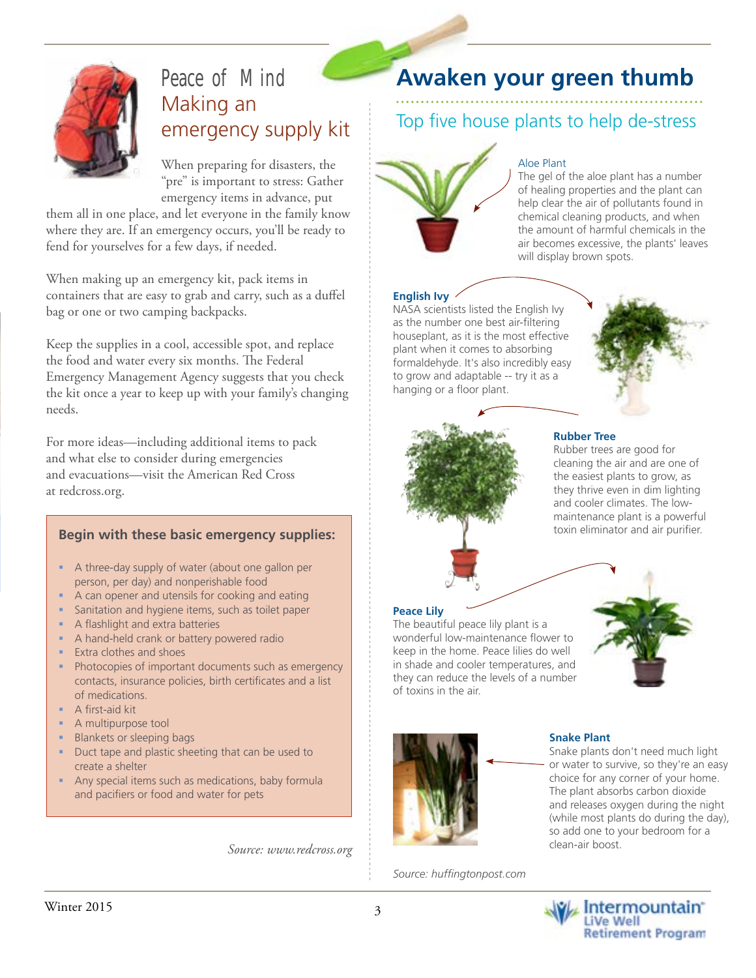

## Peace of Mind Making an emergency supply kit

When preparing for disasters, the "pre" is important to stress: Gather emergency items in advance, put

them all in one place, and let everyone in the family know where they are. If an emergency occurs, you'll be ready to fend for yourselves for a few days, if needed.

When making up an emergency kit, pack items in containers that are easy to grab and carry, such as a duffel bag or one or two camping backpacks.

Keep the supplies in a cool, accessible spot, and replace the food and water every six months. The Federal Emergency Management Agency suggests that you check the kit once a year to keep up with your family's changing needs.

For more ideas—including additional items to pack and what else to consider during emergencies and evacuations—visit the American Red Cross at redcross.org.

#### **Begin with these basic emergency supplies:**

- A three-day supply of water (about one gallon per person, per day) and nonperishable food
- A can opener and utensils for cooking and eating
- Sanitation and hygiene items, such as toilet paper
- A flashlight and extra batteries
- A hand-held crank or battery powered radio
- Extra clothes and shoes
- **Photocopies of important documents such as emergency** contacts, insurance policies, birth certificates and a list of medications.
- **A** first-aid kit
- A multipurpose tool
- Blankets or sleeping bags
- Duct tape and plastic sheeting that can be used to create a shelter
- Any special items such as medications, baby formula and pacifiers or food and water for pets

*Source: www.redcross.org*

## **Awaken your green thumb**

### Top five house plants to help de-stress



#### Aloe Plant

The gel of the aloe plant has a number of healing properties and the plant can help clear the air of pollutants found in chemical cleaning products, and when the amount of harmful chemicals in the air becomes excessive, the plants' leaves will display brown spots.

#### **English Ivy**

NASA scientists listed the English Ivy as the number one best air-filtering houseplant, as it is the most effective plant when it comes to absorbing formaldehyde. It's also incredibly easy to grow and adaptable -- try it as a hanging or a floor plant.





#### **Rubber Tree**

Rubber trees are good for cleaning the air and are one of the easiest plants to grow, as they thrive even in dim lighting and cooler climates. The lowmaintenance plant is a powerful toxin eliminator and air purifier.



The beautiful peace lily plant is a wonderful low-maintenance flower to keep in the home. Peace lilies do well in shade and cooler temperatures, and they can reduce the levels of a number of toxins in the air.



*Source: huffingtonpost.com*

#### **Snake Plant**

Snake plants don't need much light or water to survive, so they're an easy choice for any corner of your home. The plant absorbs carbon dioxide and releases oxygen during the night (while most plants do during the day), so add one to your bedroom for a clean-air boost.